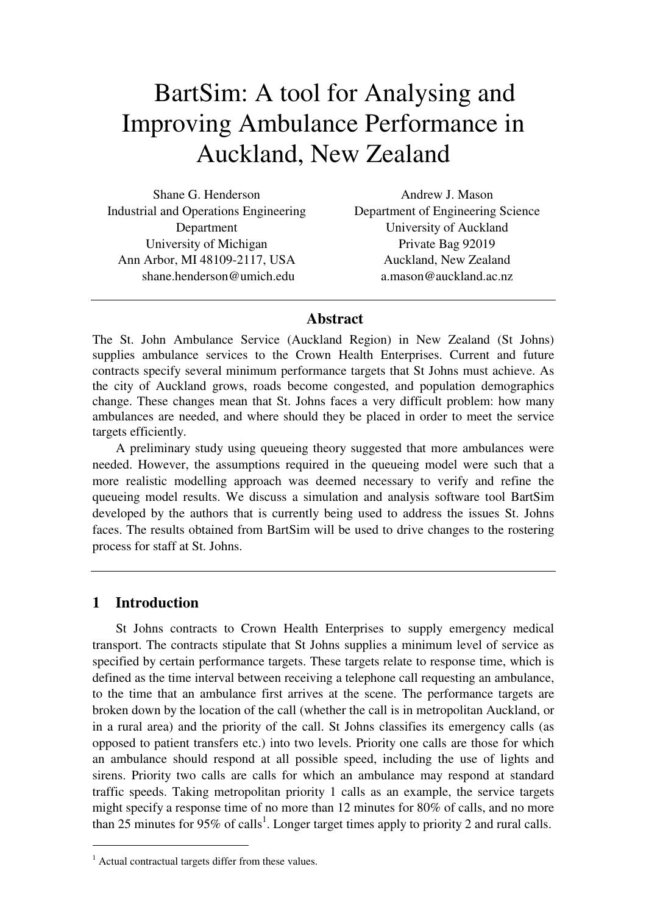# BartSim: A tool for Analysing and Improving Ambulance Performance in Auckland, New Zealand

Shane G. Henderson **Andrew J. Mason** Industrial and Operations Engineering Department University of Michigan Private Bag 92019 Ann Arbor, MI 48109-2117, USA Auckland, New Zealand shane.henderson@umich.edu a.mason@auckland.ac.nz

Department of Engineering Science University of Auckland

## **Abstract**

The St. John Ambulance Service (Auckland Region) in New Zealand (St Johns) supplies ambulance services to the Crown Health Enterprises. Current and future contracts specify several minimum performance targets that St Johns must achieve. As the city of Auckland grows, roads become congested, and population demographics change. These changes mean that St. Johns faces a very difficult problem: how many ambulances are needed, and where should they be placed in order to meet the service targets efficiently.

A preliminary study using queueing theory suggested that more ambulances were needed. However, the assumptions required in the queueing model were such that a more realistic modelling approach was deemed necessary to verify and refine the queueing model results. We discuss a simulation and analysis software tool BartSim developed by the authors that is currently being used to address the issues St. Johns faces. The results obtained from BartSim will be used to drive changes to the rostering process for staff at St. Johns.

#### **1 Introduction**

-

St Johns contracts to Crown Health Enterprises to supply emergency medical transport. The contracts stipulate that St Johns supplies a minimum level of service as specified by certain performance targets. These targets relate to response time, which is defined as the time interval between receiving a telephone call requesting an ambulance, to the time that an ambulance first arrives at the scene. The performance targets are broken down by the location of the call (whether the call is in metropolitan Auckland, or in a rural area) and the priority of the call. St Johns classifies its emergency calls (as opposed to patient transfers etc.) into two levels. Priority one calls are those for which an ambulance should respond at all possible speed, including the use of lights and sirens. Priority two calls are calls for which an ambulance may respond at standard traffic speeds. Taking metropolitan priority 1 calls as an example, the service targets might specify a response time of no more than 12 minutes for 80% of calls, and no more than 25 minutes for 95% of calls<sup>1</sup>. Longer target times apply to priority 2 and rural calls.

<sup>&</sup>lt;sup>1</sup> Actual contractual targets differ from these values.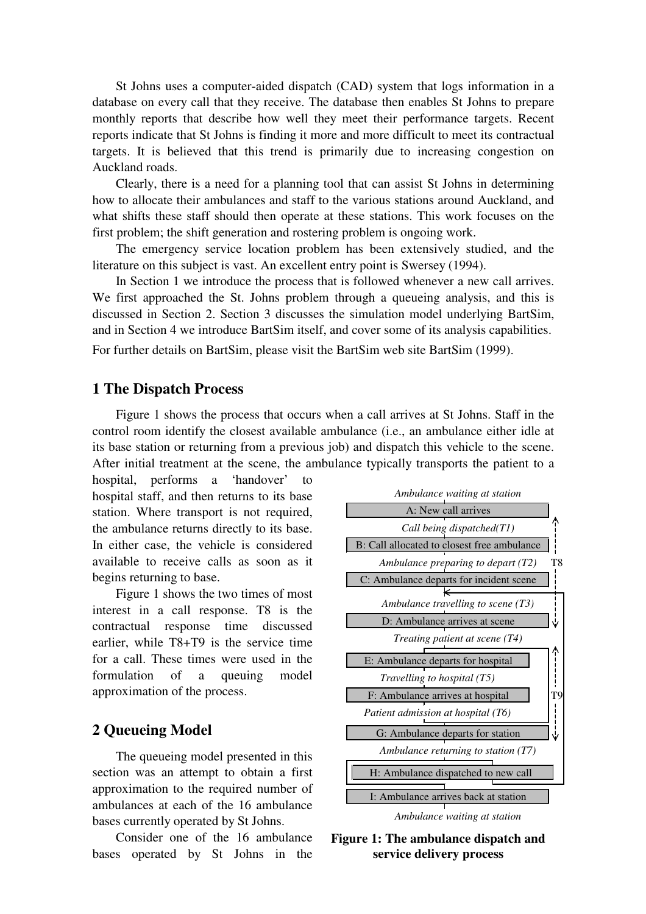St Johns uses a computer-aided dispatch (CAD) system that logs information in a database on every call that they receive. The database then enables St Johns to prepare monthly reports that describe how well they meet their performance targets. Recent reports indicate that St Johns is finding it more and more difficult to meet its contractual targets. It is believed that this trend is primarily due to increasing congestion on Auckland roads.

Clearly, there is a need for a planning tool that can assist St Johns in determining how to allocate their ambulances and staff to the various stations around Auckland, and what shifts these staff should then operate at these stations. This work focuses on the first problem; the shift generation and rostering problem is ongoing work.

The emergency service location problem has been extensively studied, and the literature on this subject is vast. An excellent entry point is Swersey (1994).

In Section 1 we introduce the process that is followed whenever a new call arrives. We first approached the St. Johns problem through a queueing analysis, and this is discussed in Section 2. Section 3 discusses the simulation model underlying BartSim, and in Section 4 we introduce BartSim itself, and cover some of its analysis capabilities.

For further details on BartSim, please visit the BartSim web site BartSim (1999).

### **1 The Dispatch Process**

Figure 1 shows the process that occurs when a call arrives at St Johns. Staff in the control room identify the closest available ambulance (i.e., an ambulance either idle at its base station or returning from a previous job) and dispatch this vehicle to the scene. After initial treatment at the scene, the ambulance typically transports the patient to a

hospital, performs a 'handover' to hospital staff, and then returns to its base station. Where transport is not required, the ambulance returns directly to its base. In either case, the vehicle is considered available to receive calls as soon as it begins returning to base.

Figure 1 shows the two times of most interest in a call response. T8 is the contractual response time discussed earlier, while T8+T9 is the service time for a call. These times were used in the formulation of a queuing model approximation of the process.

## **2 Queueing Model**

The queueing model presented in this section was an attempt to obtain a first approximation to the required number of ambulances at each of the 16 ambulance bases currently operated by St Johns.

Consider one of the 16 ambulance bases operated by St Johns in the



*Ambulance waiting at station*

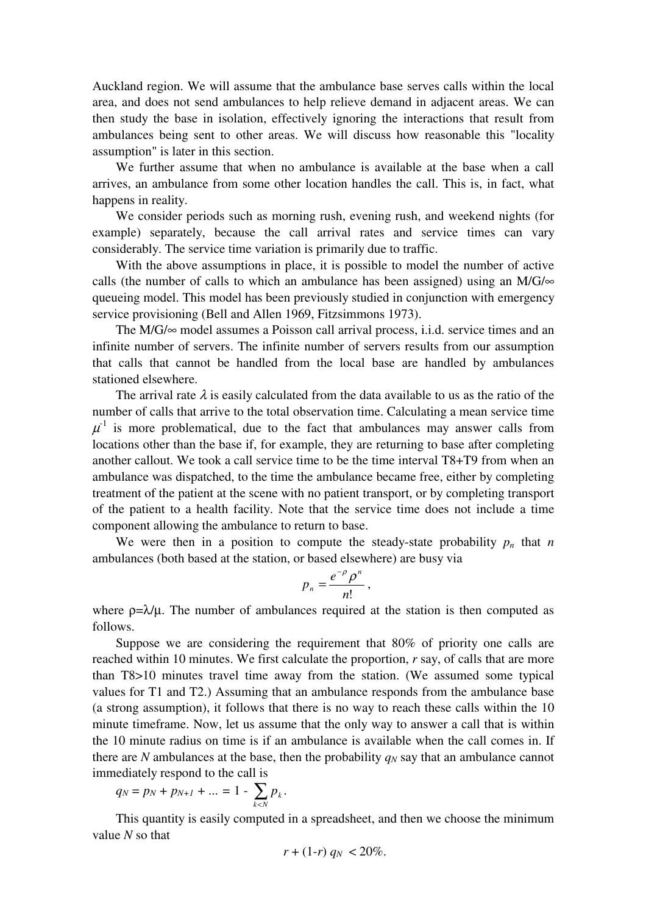Auckland region. We will assume that the ambulance base serves calls within the local area, and does not send ambulances to help relieve demand in adjacent areas. We can then study the base in isolation, effectively ignoring the interactions that result from ambulances being sent to other areas. We will discuss how reasonable this "locality assumption" is later in this section.

We further assume that when no ambulance is available at the base when a call arrives, an ambulance from some other location handles the call. This is, in fact, what happens in reality.

We consider periods such as morning rush, evening rush, and weekend nights (for example) separately, because the call arrival rates and service times can vary considerably. The service time variation is primarily due to traffic.

With the above assumptions in place, it is possible to model the number of active calls (the number of calls to which an ambulance has been assigned) using an M/G/ $\infty$ queueing model. This model has been previously studied in conjunction with emergency service provisioning (Bell and Allen 1969, Fitzsimmons 1973).

The M/G/∞ model assumes a Poisson call arrival process, i.i.d. service times and an infinite number of servers. The infinite number of servers results from our assumption that calls that cannot be handled from the local base are handled by ambulances stationed elsewhere.

The arrival rate  $\lambda$  is easily calculated from the data available to us as the ratio of the number of calls that arrive to the total observation time. Calculating a mean service time  $\mu^{-1}$  is more problematical, due to the fact that ambulances may answer calls from locations other than the base if, for example, they are returning to base after completing another callout. We took a call service time to be the time interval T8+T9 from when an ambulance was dispatched, to the time the ambulance became free, either by completing treatment of the patient at the scene with no patient transport, or by completing transport of the patient to a health facility. Note that the service time does not include a time component allowing the ambulance to return to base.

We were then in a position to compute the steady-state probability  $p_n$  that *n* ambulances (both based at the station, or based elsewhere) are busy via

$$
p_n=\frac{e^{-\rho}\rho^n}{n!},
$$

where  $\rho = \lambda/\mu$ . The number of ambulances required at the station is then computed as follows.

Suppose we are considering the requirement that 80% of priority one calls are reached within 10 minutes. We first calculate the proportion, *r* say, of calls that are more than T8>10 minutes travel time away from the station. (We assumed some typical values for T1 and T2.) Assuming that an ambulance responds from the ambulance base (a strong assumption), it follows that there is no way to reach these calls within the 10 minute timeframe. Now, let us assume that the only way to answer a call that is within the 10 minute radius on time is if an ambulance is available when the call comes in. If there are N ambulances at the base, then the probability  $q_N$  say that an ambulance cannot immediately respond to the call is

$$
q_N = p_N + p_{N+1} + \dots = 1 - \sum_{k < N} p_k.
$$

This quantity is easily computed in a spreadsheet, and then we choose the minimum value *N* so that

$$
r + (1 - r) q_N < 20\%.
$$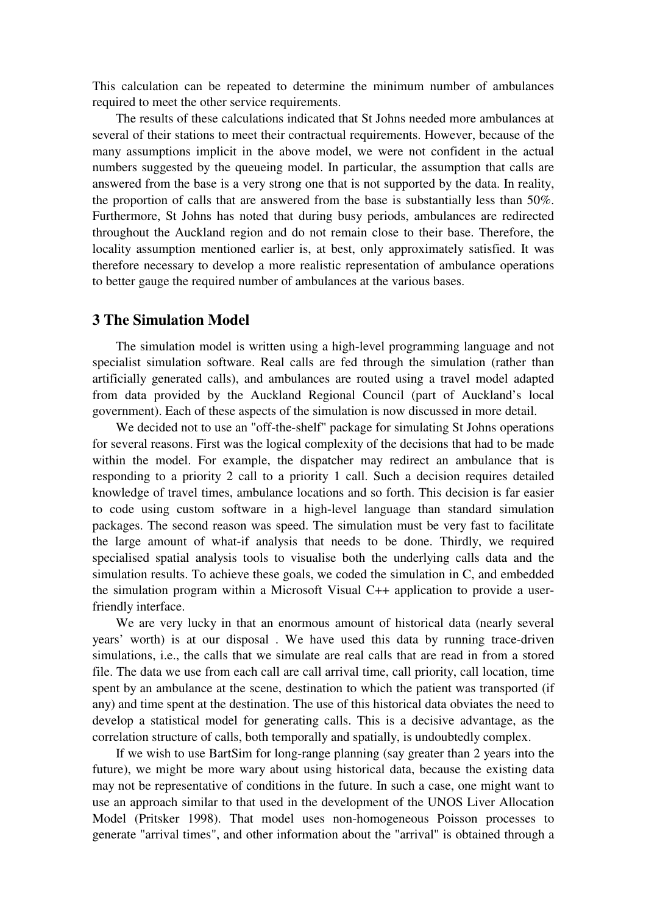This calculation can be repeated to determine the minimum number of ambulances required to meet the other service requirements.

The results of these calculations indicated that St Johns needed more ambulances at several of their stations to meet their contractual requirements. However, because of the many assumptions implicit in the above model, we were not confident in the actual numbers suggested by the queueing model. In particular, the assumption that calls are answered from the base is a very strong one that is not supported by the data. In reality, the proportion of calls that are answered from the base is substantially less than 50%. Furthermore, St Johns has noted that during busy periods, ambulances are redirected throughout the Auckland region and do not remain close to their base. Therefore, the locality assumption mentioned earlier is, at best, only approximately satisfied. It was therefore necessary to develop a more realistic representation of ambulance operations to better gauge the required number of ambulances at the various bases.

#### **3 The Simulation Model**

The simulation model is written using a high-level programming language and not specialist simulation software. Real calls are fed through the simulation (rather than artificially generated calls), and ambulances are routed using a travel model adapted from data provided by the Auckland Regional Council (part of Auckland's local government). Each of these aspects of the simulation is now discussed in more detail.

We decided not to use an "off-the-shelf" package for simulating St Johns operations for several reasons. First was the logical complexity of the decisions that had to be made within the model. For example, the dispatcher may redirect an ambulance that is responding to a priority 2 call to a priority 1 call. Such a decision requires detailed knowledge of travel times, ambulance locations and so forth. This decision is far easier to code using custom software in a high-level language than standard simulation packages. The second reason was speed. The simulation must be very fast to facilitate the large amount of what-if analysis that needs to be done. Thirdly, we required specialised spatial analysis tools to visualise both the underlying calls data and the simulation results. To achieve these goals, we coded the simulation in C, and embedded the simulation program within a Microsoft Visual C++ application to provide a userfriendly interface.

We are very lucky in that an enormous amount of historical data (nearly several years' worth) is at our disposal . We have used this data by running trace-driven simulations, i.e., the calls that we simulate are real calls that are read in from a stored file. The data we use from each call are call arrival time, call priority, call location, time spent by an ambulance at the scene, destination to which the patient was transported (if any) and time spent at the destination. The use of this historical data obviates the need to develop a statistical model for generating calls. This is a decisive advantage, as the correlation structure of calls, both temporally and spatially, is undoubtedly complex.

If we wish to use BartSim for long-range planning (say greater than 2 years into the future), we might be more wary about using historical data, because the existing data may not be representative of conditions in the future. In such a case, one might want to use an approach similar to that used in the development of the UNOS Liver Allocation Model (Pritsker 1998). That model uses non-homogeneous Poisson processes to generate "arrival times", and other information about the "arrival" is obtained through a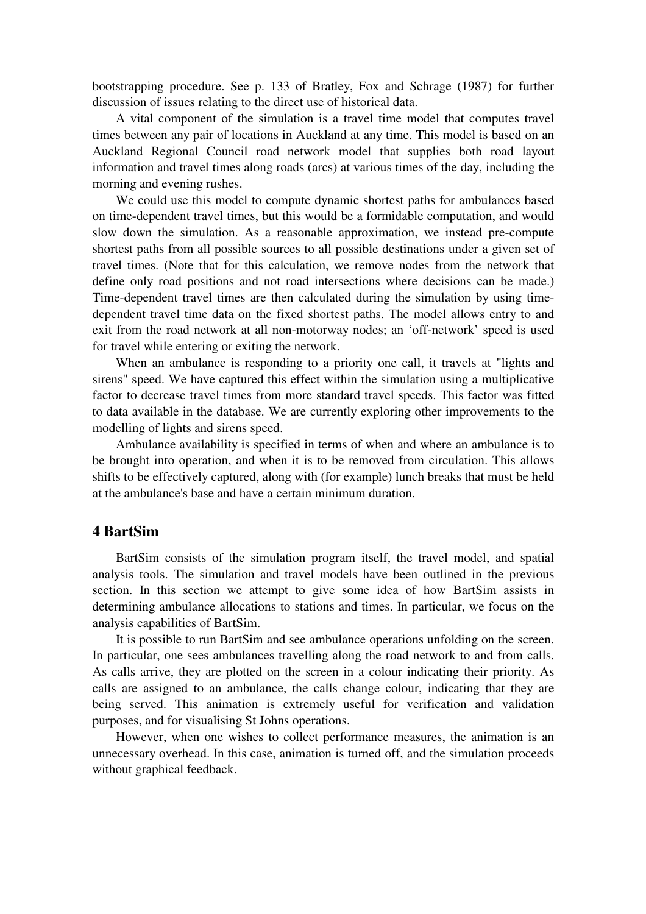bootstrapping procedure. See p. 133 of Bratley, Fox and Schrage (1987) for further discussion of issues relating to the direct use of historical data.

A vital component of the simulation is a travel time model that computes travel times between any pair of locations in Auckland at any time. This model is based on an Auckland Regional Council road network model that supplies both road layout information and travel times along roads (arcs) at various times of the day, including the morning and evening rushes.

We could use this model to compute dynamic shortest paths for ambulances based on time-dependent travel times, but this would be a formidable computation, and would slow down the simulation. As a reasonable approximation, we instead pre-compute shortest paths from all possible sources to all possible destinations under a given set of travel times. (Note that for this calculation, we remove nodes from the network that define only road positions and not road intersections where decisions can be made.) Time-dependent travel times are then calculated during the simulation by using timedependent travel time data on the fixed shortest paths. The model allows entry to and exit from the road network at all non-motorway nodes; an 'off-network' speed is used for travel while entering or exiting the network.

When an ambulance is responding to a priority one call, it travels at "lights and sirens" speed. We have captured this effect within the simulation using a multiplicative factor to decrease travel times from more standard travel speeds. This factor was fitted to data available in the database. We are currently exploring other improvements to the modelling of lights and sirens speed.

Ambulance availability is specified in terms of when and where an ambulance is to be brought into operation, and when it is to be removed from circulation. This allows shifts to be effectively captured, along with (for example) lunch breaks that must be held at the ambulance's base and have a certain minimum duration.

## **4 BartSim**

BartSim consists of the simulation program itself, the travel model, and spatial analysis tools. The simulation and travel models have been outlined in the previous section. In this section we attempt to give some idea of how BartSim assists in determining ambulance allocations to stations and times. In particular, we focus on the analysis capabilities of BartSim.

It is possible to run BartSim and see ambulance operations unfolding on the screen. In particular, one sees ambulances travelling along the road network to and from calls. As calls arrive, they are plotted on the screen in a colour indicating their priority. As calls are assigned to an ambulance, the calls change colour, indicating that they are being served. This animation is extremely useful for verification and validation purposes, and for visualising St Johns operations.

However, when one wishes to collect performance measures, the animation is an unnecessary overhead. In this case, animation is turned off, and the simulation proceeds without graphical feedback.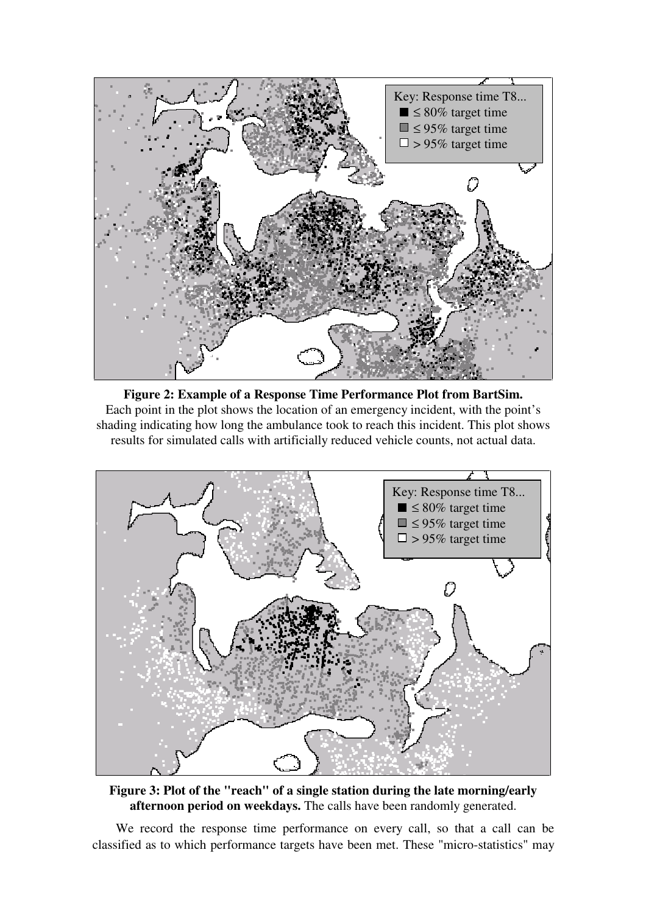

**Figure 2: Example of a Response Time Performance Plot from BartSim.** Each point in the plot shows the location of an emergency incident, with the point's shading indicating how long the ambulance took to reach this incident. This plot shows results for simulated calls with artificially reduced vehicle counts, not actual data.



**Figure 3: Plot of the "reach" of a single station during the late morning/early afternoon period on weekdays.** The calls have been randomly generated.

We record the response time performance on every call, so that a call can be classified as to which performance targets have been met. These "micro-statistics" may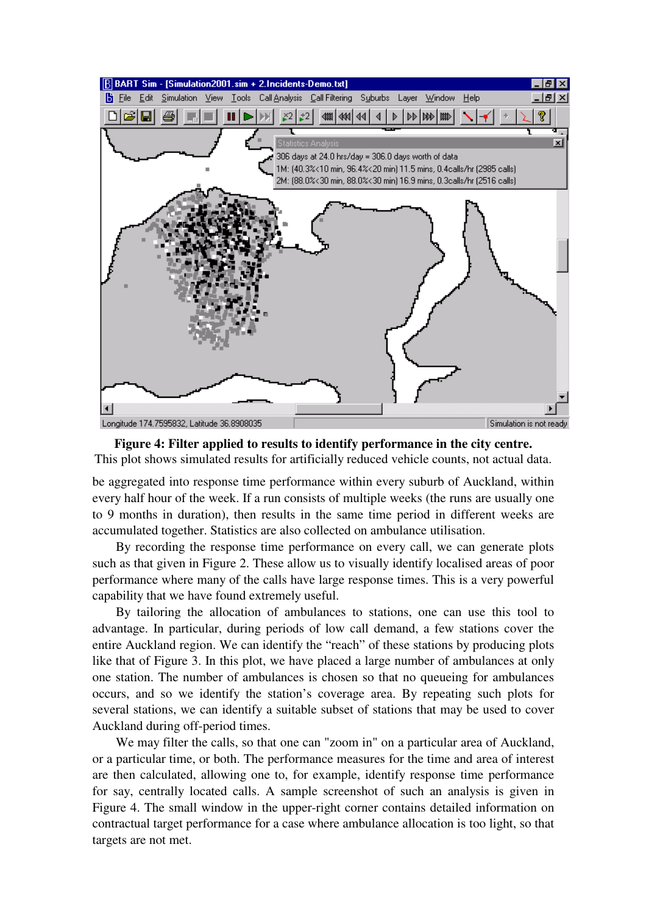

**Figure 4: Filter applied to results to identify performance in the city centre.** This plot shows simulated results for artificially reduced vehicle counts, not actual data.

be aggregated into response time performance within every suburb of Auckland, within every half hour of the week. If a run consists of multiple weeks (the runs are usually one to 9 months in duration), then results in the same time period in different weeks are accumulated together. Statistics are also collected on ambulance utilisation.

By recording the response time performance on every call, we can generate plots such as that given in Figure 2. These allow us to visually identify localised areas of poor performance where many of the calls have large response times. This is a very powerful capability that we have found extremely useful.

By tailoring the allocation of ambulances to stations, one can use this tool to advantage. In particular, during periods of low call demand, a few stations cover the entire Auckland region. We can identify the "reach" of these stations by producing plots like that of Figure 3. In this plot, we have placed a large number of ambulances at only one station. The number of ambulances is chosen so that no queueing for ambulances occurs, and so we identify the station's coverage area. By repeating such plots for several stations, we can identify a suitable subset of stations that may be used to cover Auckland during off-period times.

We may filter the calls, so that one can "zoom in" on a particular area of Auckland, or a particular time, or both. The performance measures for the time and area of interest are then calculated, allowing one to, for example, identify response time performance for say, centrally located calls. A sample screenshot of such an analysis is given in Figure 4. The small window in the upper-right corner contains detailed information on contractual target performance for a case where ambulance allocation is too light, so that targets are not met.